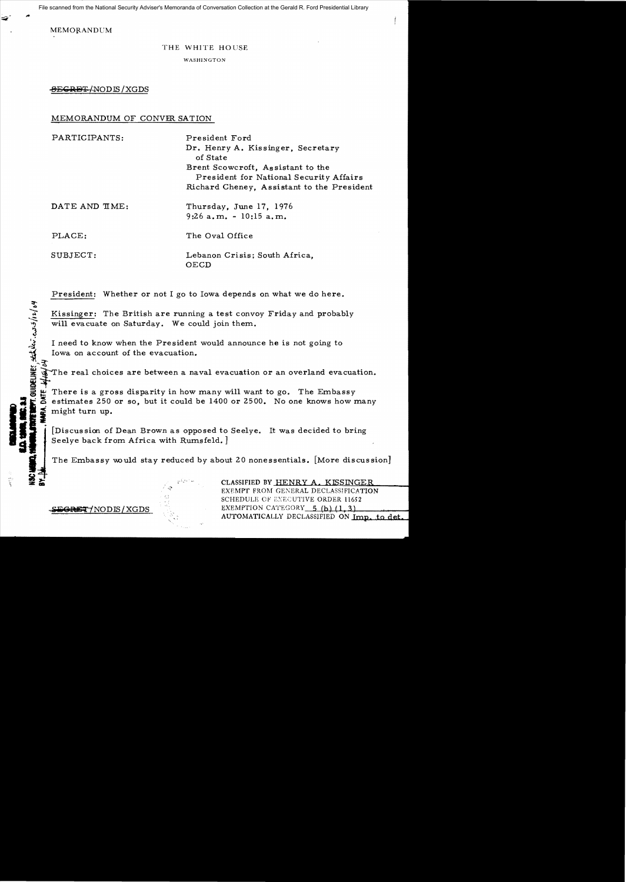File scanned from the National Security Adviser's Memoranda of Conversation Collection at the Gerald R. Ford Presidential Library

MEMORANDUM

## THE WHITE HOUSE

WASHINGTON

**SEGRET/NODIS/XGDS** 

## MEMORANDUM OF CONVER SATION

| PARTICIPANTS:  | President Ford<br>Dr. Henry A. Kissinger, Secretary<br>of State<br>Brent Scowcroft, Assistant to the<br>President for National Security Affairs |
|----------------|-------------------------------------------------------------------------------------------------------------------------------------------------|
| DATE AND TIME: | Richard Cheney, Assistant to the President<br>Thursday, June 17, 1976                                                                           |
|                | $9:26$ a.m. - 10:15 a.m.                                                                                                                        |
| PLACE:         | The Oval Office                                                                                                                                 |
| SUBJECT:       | Lebanon Crisis; South Africa,<br>OECD                                                                                                           |

President: Whether or not I go to Iowa depends on what we do here.

Kissinger: The British are running a test convoy Friday and probably will evacuate on Saturday. We could join them.

I need to know when the President would announce he is not going to Iowa on account of the evacuation.

The real choices are between a naval evacuation or an overland evacuation.

There is a gross disparity in how many will want to go. The Embassy estimates 250 or so, but it could be 1400 or 2500. No one knows how many might turn up.

Discussion of Dean Brown as opposed to Seelye. It was decided to bring Seelye back from Africa with Rumsfeld.]

The Embassy would stay reduced by about 20 nonessentials. [More discussion]

CLASSIFIED BY HENRY A. KISSINGER EXEMPT FROM GENERAL DECLASSIFICATION SCHEDULE OF EXECUTIVE ORDER 11652 EXEMPTION CATEGORY 5 (b) (1, 3) AUTOMATICALLY DECLASSIFIED ON Imp. to det.

**EGRET/NODIS/XGDS** 

**GUIDELINES Station consolant 04**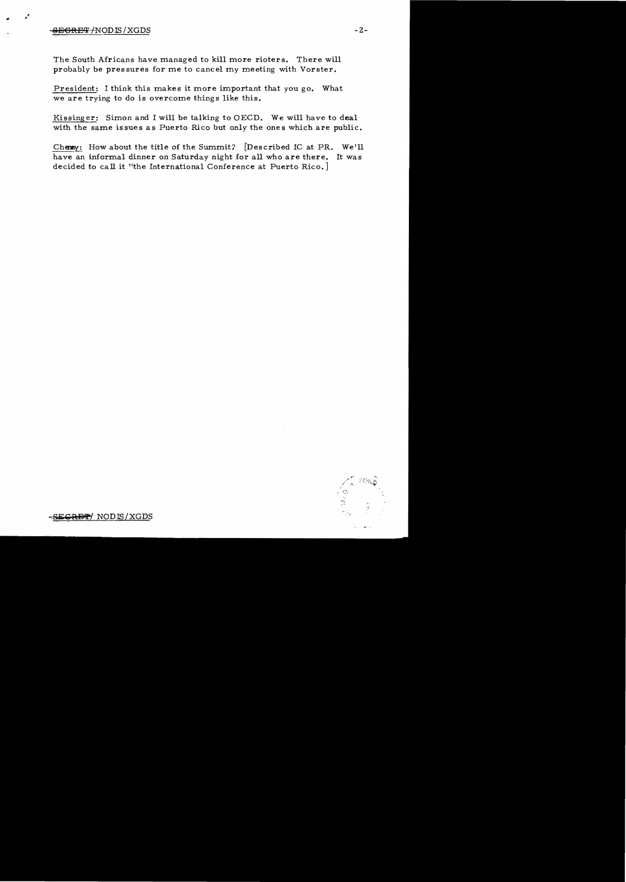## SEGRET/NODIS/XGDS -2-

 $\mathbf{r} \in \mathcal{F}^{\mathcal{C}}$ 

The South Africans have managed to kill more rioters. There will probably be pressures for me to cancel my meeting with Vorster.

President: I think this makes it more important that you go. What we are trying to do is overcome things like this.

Kissinger: Simon and I will be talking to OECD. We will have to deal with the same issues as Puerto Rico but only the ones which are public.

Cheney: How about the title of the Summit? [Described IC at PR. We'll have an informal dinner on Saturday night for all who are there. It was decided to call it "the International Conference at Puerto Rico.]



<del>RET</del>/ NODIS/XGDS